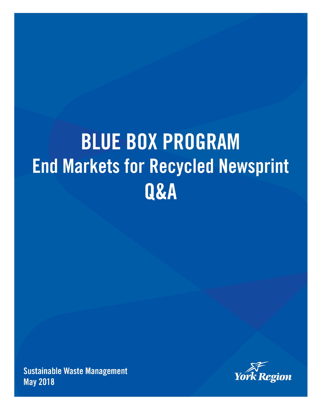# **BLUE BOX PROGRAM End Markets for Recycled Newsprint** Q&A

**Sustainable Waste Management May 2018** 

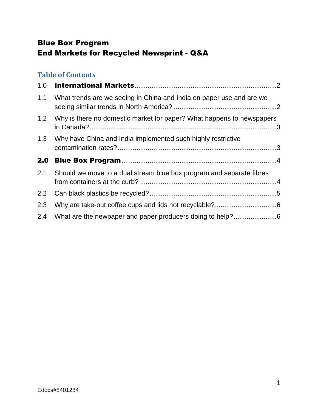# Blue Box Program End Markets for Recycled Newsprint - Q&A

## **Table of Contents**

| 1.0              |                                                                       |  |
|------------------|-----------------------------------------------------------------------|--|
| 1.1              | What trends are we seeing in China and India on paper use and are we  |  |
| 1.2              | Why is there no domestic market for paper? What happens to newspapers |  |
| 1.3              | Why have China and India implemented such highly restrictive          |  |
|                  |                                                                       |  |
| 2.0              |                                                                       |  |
| 2.1              | Should we move to a dual stream blue box program and separate fibres  |  |
| $2.2\phantom{0}$ |                                                                       |  |
| 2.3              |                                                                       |  |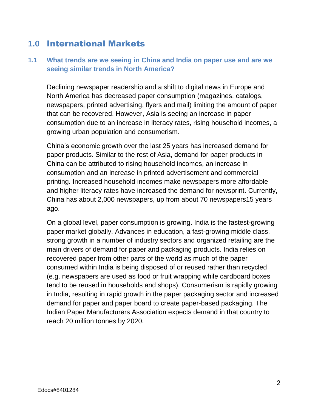## <span id="page-2-0"></span>**1.0** International Markets

#### <span id="page-2-1"></span>**1.1 What trends are we seeing in China and India on paper use and are we seeing similar trends in North America?**

Declining newspaper readership and a shift to digital news in Europe and North America has decreased paper consumption (magazines, catalogs, newspapers, printed advertising, flyers and mail) limiting the amount of paper that can be recovered. However, Asia is seeing an increase in paper consumption due to an increase in literacy rates, rising household incomes, a growing urban population and consumerism.

China's economic growth over the last 25 years has increased demand for paper products. Similar to the rest of Asia, demand for paper products in China can be attributed to rising household incomes, an increase in consumption and an increase in printed advertisement and commercial printing. Increased household incomes make newspapers more affordable and higher literacy rates have increased the demand for newsprint. Currently, China has about 2,000 newspapers, up from about 70 newspapers15 years ago.

On a global level, paper consumption is growing. India is the fastest-growing paper market globally. Advances in education, a fast-growing middle class, strong growth in a number of industry sectors and organized retailing are the main drivers of demand for paper and packaging products. India relies on recovered paper from other parts of the world as much of the paper consumed within India is being disposed of or reused rather than recycled (e.g. newspapers are used as food or fruit wrapping while cardboard boxes tend to be reused in households and shops). Consumerism is rapidly growing in India, resulting in rapid growth in the paper packaging sector and increased demand for paper and paper board to create paper-based packaging. The Indian Paper Manufacturers Association expects demand in that country to reach 20 million tonnes by 2020.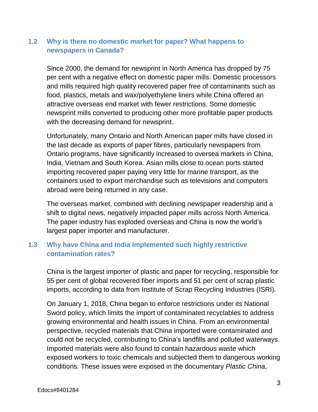#### <span id="page-3-0"></span>**1.2 Why is there no domestic market for paper? What happens to newspapers in Canada?**

Since 2000, the demand for newsprint in North America has dropped by 75 per cent with a negative effect on domestic paper mills. Domestic processors and mills required high quality recovered paper free of contaminants such as food, plastics, metals and wax/polyethylene liners while China offered an attractive overseas end market with fewer restrictions. Some domestic newsprint mills converted to producing other more profitable paper products with the decreasing demand for newsprint.

Unfortunately, many Ontario and North American paper mills have closed in the last decade as exports of paper fibres, particularly newspapers from Ontario programs, have significantly increased to oversea markets in China, India, Vietnam and South Korea. Asian mills close to ocean ports started importing recovered paper paying very little for marine transport, as the containers used to export merchandise such as televisions and computers abroad were being returned in any case.

The overseas market, combined with declining newspaper readership and a shift to digital news, negatively impacted paper mills across North America. The paper industry has exploded overseas and China is now the world's largest paper importer and manufacturer.

### <span id="page-3-1"></span>**1.3 Why have China and India implemented such highly restrictive contamination rates?**

China is the largest importer of plastic and paper for recycling, responsible for 55 per cent of global recovered fiber imports and 51 per cent of scrap plastic imports, according to data from Institute of Scrap Recycling Industries (ISRI).

On January 1, 2018, China began to enforce restrictions under its National Sword policy, which limits the import of contaminated recyclables to address growing environmental and health issues in China. From an environmental perspective, recycled materials that China imported were contaminated and could not be recycled, contributing to China's landfills and polluted waterways. Imported materials were also found to contain hazardous waste which exposed workers to toxic chemicals and subjected them to dangerous working conditions. These issues were exposed in the documentary *Plastic China*,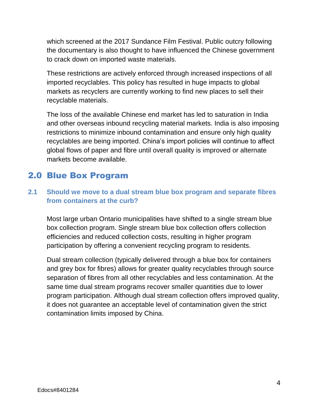which screened at the 2017 Sundance Film Festival. Public outcry following the documentary is also thought to have influenced the Chinese government to crack down on imported waste materials.

These restrictions are actively enforced through increased inspections of all imported recyclables. This policy has resulted in huge impacts to global markets as recyclers are currently working to find new places to sell their recyclable materials.

The loss of the available Chinese end market has led to saturation in India and other overseas inbound recycling material markets. India is also imposing restrictions to minimize inbound contamination and ensure only high quality recyclables are being imported. China's import policies will continue to affect global flows of paper and fibre until overall quality is improved or alternate markets become available.

# <span id="page-4-0"></span>2.0 Blue Box Program

#### <span id="page-4-1"></span>**2.1 Should we move to a dual stream blue box program and separate fibres from containers at the curb?**

Most large urban Ontario municipalities have shifted to a single stream blue box collection program. Single stream blue box collection offers collection efficiencies and reduced collection costs, resulting in higher program participation by offering a convenient recycling program to residents.

Dual stream collection (typically delivered through a blue box for containers and grey box for fibres) allows for greater quality recyclables through source separation of fibres from all other recyclables and less contamination. At the same time dual stream programs recover smaller quantities due to lower program participation. Although dual stream collection offers improved quality, it does not guarantee an acceptable level of contamination given the strict contamination limits imposed by China.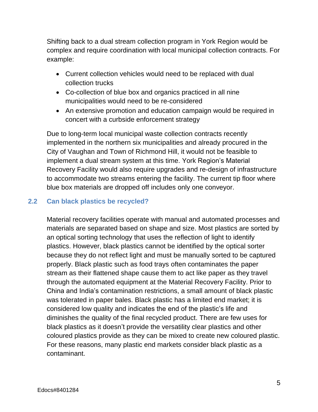Shifting back to a dual stream collection program in York Region would be complex and require coordination with local municipal collection contracts. For example:

- Current collection vehicles would need to be replaced with dual collection trucks
- Co-collection of blue box and organics practiced in all nine municipalities would need to be re-considered
- An extensive promotion and education campaign would be required in concert with a curbside enforcement strategy

Due to long-term local municipal waste collection contracts recently implemented in the northern six municipalities and already procured in the City of Vaughan and Town of Richmond Hill, it would not be feasible to implement a dual stream system at this time. York Region's Material Recovery Facility would also require upgrades and re-design of infrastructure to accommodate two streams entering the facility. The current tip floor where blue box materials are dropped off includes only one conveyor.

#### <span id="page-5-0"></span>**2.2 Can black plastics be recycled?**

Material recovery facilities operate with manual and automated processes and materials are separated based on shape and size. Most plastics are sorted by an optical sorting technology that uses the reflection of light to identify plastics. However, black plastics cannot be identified by the optical sorter because they do not reflect light and must be manually sorted to be captured properly. Black plastic such as food trays often contaminates the paper stream as their flattened shape cause them to act like paper as they travel through the automated equipment at the Material Recovery Facility. Prior to China and India's contamination restrictions, a small amount of black plastic was tolerated in paper bales. Black plastic has a limited end market; it is considered low quality and indicates the end of the plastic's life and diminishes the quality of the final recycled product. There are few uses for black plastics as it doesn't provide the versatility clear plastics and other coloured plastics provide as they can be mixed to create new coloured plastic. For these reasons, many plastic end markets consider black plastic as a contaminant.